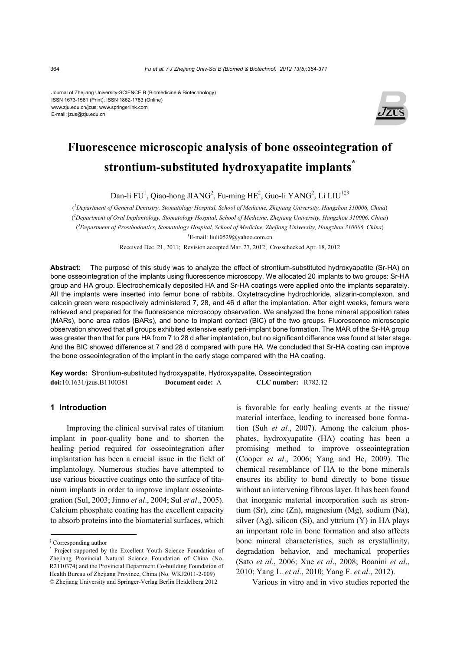Journal of Zhejiang University-SCIENCE B (Biomedicine & Biotechnology) ISSN 1673-1581 (Print); ISSN 1862-1783 (Online) www.zju.edu.cn/jzus; www.springerlink.com E-mail: jzus@zju.edu.cn



# **Fluorescence microscopic analysis of bone osseointegration of strontium-substituted hydroxyapatite implants\***

Dan-li FU<sup>1</sup>, Qiao-hong JIANG<sup>2</sup>, Fu-ming HE<sup>2</sup>, Guo-li YANG<sup>2</sup>, Li LIU<sup>†‡3</sup>

( *1 Department of General Dentistry, Stomatology Hospital, School of Medicine, Zhejiang University, Hangzhou 310006, China*) ( *2 Department of Oral Implantology, Stomatology Hospital, School of Medicine, Zhejiang University, Hangzhou 310006, China*) ( *3 Department of Prosthodontics, Stomatology Hospital, School of Medicine, Zhejiang University, Hangzhou 310006, China*) † E-mail: liuli0529@yahoo.com.cn

Received Dec. 21, 2011; Revision accepted Mar. 27, 2012; Crosschecked Apr. 18, 2012

**Abstract:** The purpose of this study was to analyze the effect of strontium-substituted hydroxyapatite (Sr-HA) on bone osseointegration of the implants using fluorescence microscopy. We allocated 20 implants to two groups: Sr-HA group and HA group. Electrochemically deposited HA and Sr-HA coatings were applied onto the implants separately. All the implants were inserted into femur bone of rabbits. Oxytetracycline hydrochloride, alizarin-complexon, and calcein green were respectively administered 7, 28, and 46 d after the implantation. After eight weeks, femurs were retrieved and prepared for the fluorescence microscopy observation. We analyzed the bone mineral apposition rates (MARs), bone area ratios (BARs), and bone to implant contact (BIC) of the two groups. Fluorescence microscopic observation showed that all groups exhibited extensive early peri-implant bone formation. The MAR of the Sr-HA group was greater than that for pure HA from 7 to 28 d after implantation, but no significant difference was found at later stage. And the BIC showed difference at 7 and 28 d compared with pure HA. We concluded that Sr-HA coating can improve the bone osseointegration of the implant in the early stage compared with the HA coating.

**Key words:** Strontium-substituted hydroxyapatite, Hydroxyapatite, Osseointegration **doi:**10.1631/jzus.B1100381 **Document code:** A **CLC number:** R782.12

## **1 Introduction**

Improving the clinical survival rates of titanium implant in poor-quality bone and to shorten the healing period required for osseointegration after implantation has been a crucial issue in the field of implantology. Numerous studies have attempted to use various bioactive coatings onto the surface of titanium implants in order to improve implant osseointegration (Sul, 2003; Jinno *et al*., 2004; Sul *et al*., 2005). Calcium phosphate coating has the excellent capacity to absorb proteins into the biomaterial surfaces, which is favorable for early healing events at the tissue/ material interface, leading to increased bone formation (Suh *et al.*, 2007). Among the calcium phosphates, hydroxyapatite (HA) coating has been a promising method to improve osseointegration (Cooper *et al*., 2006; Yang and He, 2009). The chemical resemblance of HA to the bone minerals ensures its ability to bond directly to bone tissue without an intervening fibrous layer. It has been found that inorganic material incorporation such as strontium (Sr), zinc (Zn), magnesium (Mg), sodium (Na), silver  $(Ag)$ , silicon  $(Si)$ , and yttrium  $(Y)$  in HA plays an important role in bone formation and also affects bone mineral characteristics, such as crystallinity, degradation behavior, and mechanical properties (Sato *et al*., 2006; Xue *et al*., 2008; Boanini *et al*., 2010; Yang L. *et al*., 2010; Yang F. *et al*., 2012).

Various in vitro and in vivo studies reported the

<sup>‡</sup> Corresponding author

<sup>\*</sup> Project supported by the Excellent Youth Science Foundation of Zhejiang Provincial Natural Science Foundation of China (No. R2110374) and the Provincial Department Co-building Foundation of Health Bureau of Zhejiang Province, China (No. WKJ2011-2-009) © Zhejiang University and Springer-Verlag Berlin Heidelberg 2012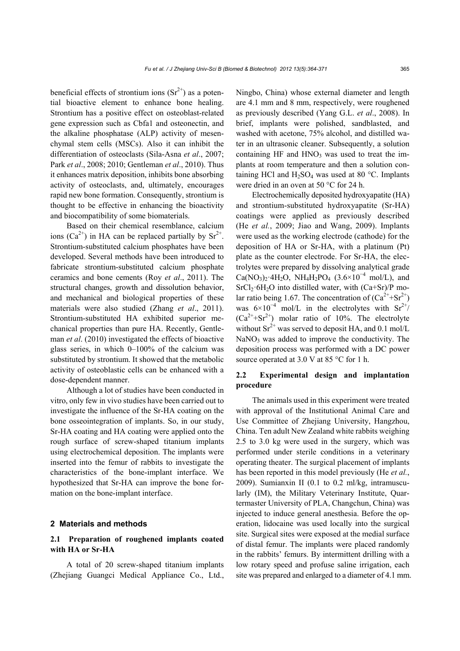beneficial effects of strontium ions  $(Sr^{2+})$  as a potential bioactive element to enhance bone healing. Strontium has a positive effect on osteoblast-related gene expression such as Cbfa1 and osteonectin, and the alkaline phosphatase (ALP) activity of mesenchymal stem cells (MSCs). Also it can inhibit the differentiation of osteoclasts (Sila-Asna *et al*., 2007; Park *et al*., 2008; 2010; Gentleman *et al*., 2010). Thus it enhances matrix deposition, inhibits bone absorbing activity of osteoclasts, and, ultimately, encourages rapid new bone formation. Consequently, strontium is thought to be effective in enhancing the bioactivity and biocompatibility of some biomaterials.

Based on their chemical resemblance, calcium ions  $(Ca^{2+})$  in HA can be replaced partially by  $Sr^{2+}$ . Strontium-substituted calcium phosphates have been developed. Several methods have been introduced to fabricate strontium-substituted calcium phosphate ceramics and bone cements (Roy *et al*., 2011). The structural changes, growth and dissolution behavior, and mechanical and biological properties of these materials were also studied (Zhang *et al*., 2011). Strontium-substituted HA exhibited superior mechanical properties than pure HA. Recently, Gentleman *et al*. (2010) investigated the effects of bioactive glass series, in which 0–100% of the calcium was substituted by strontium. It showed that the metabolic activity of osteoblastic cells can be enhanced with a dose-dependent manner.

Although a lot of studies have been conducted in vitro, only few in vivo studies have been carried out to investigate the influence of the Sr-HA coating on the bone osseointegration of implants. So, in our study, Sr-HA coating and HA coating were applied onto the rough surface of screw-shaped titanium implants using electrochemical deposition. The implants were inserted into the femur of rabbits to investigate the characteristics of the bone-implant interface. We hypothesized that Sr-HA can improve the bone formation on the bone-implant interface.

## **2 Materials and methods**

# **2.1 Preparation of roughened implants coated with HA or Sr-HA**

A total of 20 screw-shaped titanium implants (Zhejiang Guangci Medical Appliance Co., Ltd.,

Ningbo, China) whose external diameter and length are 4.1 mm and 8 mm, respectively, were roughened as previously described (Yang G.L. *et al*., 2008). In brief, implants were polished, sandblasted, and washed with acetone, 75% alcohol, and distilled water in an ultrasonic cleaner. Subsequently, a solution containing HF and  $HNO<sub>3</sub>$  was used to treat the implants at room temperature and then a solution containing HCl and  $H_2SO_4$  was used at 80 °C. Implants were dried in an oven at 50 °C for 24 h.

Electrochemically deposited hydroxyapatite (HA) and strontium-substituted hydroxyapatite (Sr-HA) coatings were applied as previously described (He *et al.*, 2009; Jiao and Wang, 2009). Implants were used as the working electrode (cathode) for the deposition of HA or Sr-HA, with a platinum (Pt) plate as the counter electrode. For Sr-HA, the electrolytes were prepared by dissolving analytical grade  $Ca(NO<sub>3</sub>)<sub>2</sub>·4H<sub>2</sub>O$ , NH<sub>4</sub>H<sub>2</sub>PO<sub>4</sub> (3.6×10<sup>-4</sup> mol/L), and  $SrCl<sub>2</sub>·6H<sub>2</sub>O$  into distilled water, with  $(Ca+Sr)/P$  molar ratio being 1.67. The concentration of  $(Ca^{2+}+Sr^{2+})$ was  $6\times10^{-4}$  mol/L in the electrolytes with Sr<sup>2+</sup>/  $(Ca^{2+}+Sr^{2+})$  molar ratio of 10%. The electrolyte without  $Sr^{2+}$  was served to deposit HA, and 0.1 mol/L  $NaNO<sub>3</sub>$  was added to improve the conductivity. The deposition process was performed with a DC power source operated at 3.0 V at 85 °C for 1 h.

# **2.2 Experimental design and implantation procedure**

The animals used in this experiment were treated with approval of the Institutional Animal Care and Use Committee of Zhejiang University, Hangzhou, China. Ten adult New Zealand white rabbits weighing 2.5 to 3.0 kg were used in the surgery, which was performed under sterile conditions in a veterinary operating theater. The surgical placement of implants has been reported in this model previously (He *et al.*, 2009). Sumianxin II (0.1 to 0.2 ml/kg, intramuscularly (IM), the Military Veterinary Institute, Quartermaster University of PLA, Changchun, China) was injected to induce general anesthesia. Before the operation, lidocaine was used locally into the surgical site. Surgical sites were exposed at the medial surface of distal femur. The implants were placed randomly in the rabbits' femurs. By intermittent drilling with a low rotary speed and profuse saline irrigation, each site was prepared and enlarged to a diameter of 4.1 mm.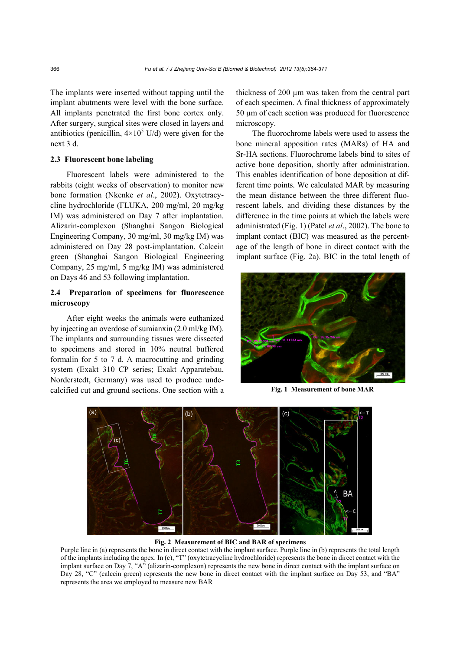The implants were inserted without tapping until the implant abutments were level with the bone surface. All implants penetrated the first bone cortex only. After surgery, surgical sites were closed in layers and antibiotics (penicillin,  $4 \times 10^5$  U/d) were given for the next 3 d.

# **2.3 Fluorescent bone labeling**

Fluorescent labels were administered to the rabbits (eight weeks of observation) to monitor new bone formation (Nkenke *et al*., 2002). Oxytetracycline hydrochloride (FLUKA, 200 mg/ml, 20 mg/kg IM) was administered on Day 7 after implantation. Alizarin-complexon (Shanghai Sangon Biological Engineering Company, 30 mg/ml, 30 mg/kg IM) was administered on Day 28 post-implantation. Calcein green (Shanghai Sangon Biological Engineering Company, 25 mg/ml, 5 mg/kg IM) was administered on Days 46 and 53 following implantation.

# **2.4 Preparation of specimens for fluorescence microscopy**

After eight weeks the animals were euthanized by injecting an overdose of sumianxin (2.0 ml/kg IM). The implants and surrounding tissues were dissected to specimens and stored in 10% neutral buffered formalin for 5 to 7 d. A macrocutting and grinding system (Exakt 310 CP series; Exakt Apparatebau, Norderstedt, Germany) was used to produce undecalcified cut and ground sections. One section with a thickness of 200 µm was taken from the central part of each specimen. A final thickness of approximately 50 µm of each section was produced for fluorescence microscopy.

The fluorochrome labels were used to assess the bone mineral apposition rates (MARs) of HA and Sr-HA sections. Fluorochrome labels bind to sites of active bone deposition, shortly after administration. This enables identification of bone deposition at different time points. We calculated MAR by measuring the mean distance between the three different fluorescent labels, and dividing these distances by the difference in the time points at which the labels were administrated (Fig. 1) (Patel *et al*., 2002). The bone to implant contact (BIC) was measured as the percentage of the length of bone in direct contact with the implant surface (Fig. 2a). BIC in the total length of



**Fig. 1 Measurement of bone MAR** 



**Fig. 2 Measurement of BIC and BAR of specimens** 

Purple line in (a) represents the bone in direct contact with the implant surface. Purple line in (b) represents the total length of the implants including the apex. In (c), "T" (oxytetracycline hydrochloride) represents the bone in direct contact with the implant surface on Day 7, "A" (alizarin-complexon) represents the new bone in direct contact with the implant surface on Day 28, "C" (calcein green) represents the new bone in direct contact with the implant surface on Day 53, and "BA" represents the area we employed to measure new BAR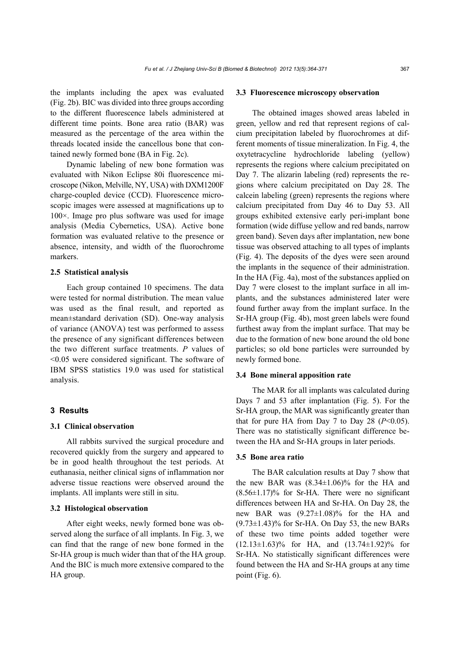the implants including the apex was evaluated (Fig. 2b). BIC was divided into three groups according to the different fluorescence labels administered at different time points. Bone area ratio (BAR) was measured as the percentage of the area within the threads located inside the cancellous bone that contained newly formed bone (BA in Fig. 2c).

Dynamic labeling of new bone formation was evaluated with Nikon Eclipse 80i fluorescence microscope (Nikon, Melville, NY, USA) with DXM1200F charge-coupled device (CCD). Fluorescence microscopic images were assessed at magnifications up to 100×. Image pro plus software was used for image analysis (Media Cybernetics, USA). Active bone formation was evaluated relative to the presence or absence, intensity, and width of the fluorochrome markers.

## **2.5 Statistical analysis**

Each group contained 10 specimens. The data were tested for normal distribution. The mean value was used as the final result, and reported as mean±standard derivation (SD). One-way analysis of variance (ANOVA) test was performed to assess the presence of any significant differences between the two different surface treatments. *P* values of <0.05 were considered significant. The software of IBM SPSS statistics 19.0 was used for statistical analysis.

# **3 Results**

# **3.1 Clinical observation**

All rabbits survived the surgical procedure and recovered quickly from the surgery and appeared to be in good health throughout the test periods. At euthanasia, neither clinical signs of inflammation nor adverse tissue reactions were observed around the implants. All implants were still in situ.

## **3.2 Histological observation**

After eight weeks, newly formed bone was observed along the surface of all implants. In Fig. 3, we can find that the range of new bone formed in the Sr-HA group is much wider than that of the HA group. And the BIC is much more extensive compared to the HA group.

## **3.3 Fluorescence microscopy observation**

The obtained images showed areas labeled in green, yellow and red that represent regions of calcium precipitation labeled by fluorochromes at different moments of tissue mineralization. In Fig. 4, the oxytetracycline hydrochloride labeling (yellow) represents the regions where calcium precipitated on Day 7. The alizarin labeling (red) represents the regions where calcium precipitated on Day 28. The calcein labeling (green) represents the regions where calcium precipitated from Day 46 to Day 53. All groups exhibited extensive early peri-implant bone formation (wide diffuse yellow and red bands, narrow green band). Seven days after implantation, new bone tissue was observed attaching to all types of implants (Fig. 4). The deposits of the dyes were seen around the implants in the sequence of their administration. In the HA (Fig. 4a), most of the substances applied on Day 7 were closest to the implant surface in all implants, and the substances administered later were found further away from the implant surface. In the Sr-HA group (Fig. 4b), most green labels were found furthest away from the implant surface. That may be due to the formation of new bone around the old bone particles; so old bone particles were surrounded by newly formed bone.

#### **3.4 Bone mineral apposition rate**

The MAR for all implants was calculated during Days 7 and 53 after implantation (Fig. 5). For the Sr-HA group, the MAR was significantly greater than that for pure HA from Day 7 to Day 28  $(P<0.05)$ . There was no statistically significant difference between the HA and Sr-HA groups in later periods.

## **3.5 Bone area ratio**

The BAR calculation results at Day 7 show that the new BAR was  $(8.34\pm1.06)\%$  for the HA and  $(8.56\pm1.17)\%$  for Sr-HA. There were no significant differences between HA and Sr-HA. On Day 28, the new BAR was (9.27±1.08)% for the HA and  $(9.73\pm1.43)\%$  for Sr-HA. On Day 53, the new BARs of these two time points added together were (12.13±1.63)% for HA, and (13.74±1.92)% for Sr-HA. No statistically significant differences were found between the HA and Sr-HA groups at any time point (Fig. 6).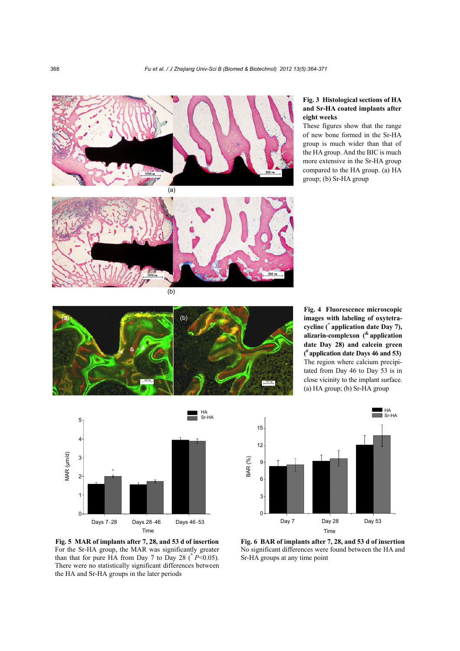

## **Fig. 3 Histological sections of HA and Sr-HA coated implants after eight weeks**

These figures show that the range of new bone formed in the Sr-HA group is much wider than that of the HA group. And the BIC is much more extensive in the Sr-HA group compared to the HA group. (a) HA group; (b) Sr-HA group



**Fig. 4 Fluorescence microscopic images with labeling of oxytetracycline (\* application date Day 7), alizarin-complexon (& application date Day 28) and calcein green ( # application date Days 46 and 53)** The region where calcium precipitated from Day 46 to Day 53 is in close vicinity to the implant surface. (a) HA group; (b) Sr-HA group



Day 7 Day 28 Day 53 HA Sr-HA Time

**Fig. 5 MAR of implants after 7, 28, and 53 d of insertion** For the Sr-HA group, the MAR was significantly greater than that for pure HA from Day 7 to Day 28 ( $P$  < 0.05). There were no statistically significant differences between the HA and Sr-HA groups in the later periods

5

4

3

MAR (μm/d)

MAR (µm/d)

2

1

 $\Omega$ 

**Fig. 6 BAR of implants after 7, 28, and 53 d of insertion** No significant differences were found between the HA and Sr-HA groups at any time point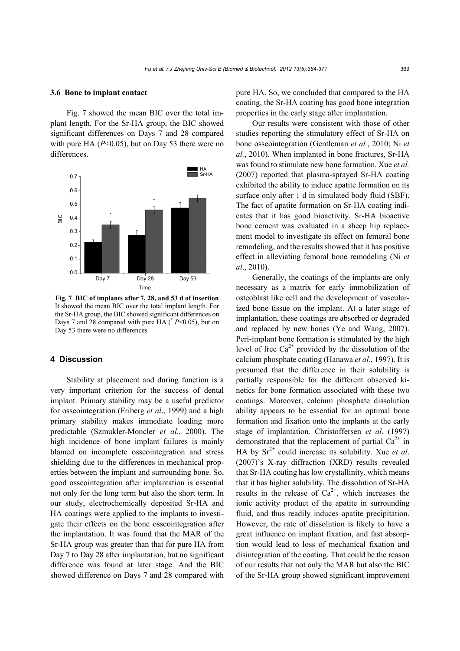#### **3.6 Bone to implant contact**

Fig. 7 showed the mean BIC over the total implant length. For the Sr-HA group, the BIC showed significant differences on Days 7 and 28 compared with pure HA ( $P \le 0.05$ ), but on Day 53 there were no differences.



**Fig. 7 BIC of implants after 7, 28, and 53 d of insertion** It showed the mean BIC over the total implant length. For the Sr-HA group, the BIC showed significant differences on Days 7 and 28 compared with pure HA (\* *P*<0.05), but on Day 53 there were no differences

# **4 Discussion**

Stability at placement and during function is a very important criterion for the success of dental implant. Primary stability may be a useful predictor for osseointegration (Friberg *et al*., 1999) and a high primary stability makes immediate loading more predictable (Szmukler-Moncler *et al*., 2000). The high incidence of bone implant failures is mainly blamed on incomplete osseointegration and stress shielding due to the differences in mechanical properties between the implant and surrounding bone. So, good osseointegration after implantation is essential not only for the long term but also the short term. In our study, electrochemically deposited Sr-HA and HA coatings were applied to the implants to investigate their effects on the bone osseointegration after the implantation. It was found that the MAR of the Sr-HA group was greater than that for pure HA from Day 7 to Day 28 after implantation, but no significant difference was found at later stage. And the BIC showed difference on Days 7 and 28 compared with

pure HA. So, we concluded that compared to the HA coating, the Sr-HA coating has good bone integration properties in the early stage after implantation.

Our results were consistent with those of other studies reporting the stimulatory effect of Sr-HA on bone osseointegration (Gentleman *et al.*, 2010; Ni *et al.*, 2010). When implanted in bone fractures, Sr-HA was found to stimulate new bone formation. Xue *et al.* (2007) reported that plasma-sprayed Sr-HA coating exhibited the ability to induce apatite formation on its surface only after 1 d in simulated body fluid (SBF). The fact of apatite formation on Sr-HA coating indicates that it has good bioactivity. Sr-HA bioactive bone cement was evaluated in a sheep hip replacement model to investigate its effect on femoral bone remodeling, and the results showed that it has positive effect in alleviating femoral bone remodeling (Ni *et al*., 2010).

Generally, the coatings of the implants are only necessary as a matrix for early immobilization of osteoblast like cell and the development of vascularized bone tissue on the implant. At a later stage of implantation, these coatings are absorbed or degraded and replaced by new bones (Ye and Wang, 2007). Peri-implant bone formation is stimulated by the high level of free  $Ca^{2+}$  provided by the dissolution of the calcium phosphate coating (Hanawa *et al.*, 1997). It is presumed that the difference in their solubility is partially responsible for the different observed kinetics for bone formation associated with these two coatings. Moreover, calcium phosphate dissolution ability appears to be essential for an optimal bone formation and fixation onto the implants at the early stage of implantation. Christoffersen *et al*. (1997) demonstrated that the replacement of partial  $Ca^{2+}$  in HA by  $Sr^{2+}$  could increase its solubility. Xue *et al.* (2007)'s X-ray diffraction (XRD) results revealed that Sr-HA coating has low crystallinity, which means that it has higher solubility. The dissolution of Sr-HA results in the release of  $Ca^{2+}$ , which increases the ionic activity product of the apatite in surrounding fluid, and thus readily induces apatite precipitation. However, the rate of dissolution is likely to have a great influence on implant fixation, and fast absorption would lead to loss of mechanical fixation and disintegration of the coating. That could be the reason of our results that not only the MAR but also the BIC of the Sr-HA group showed significant improvement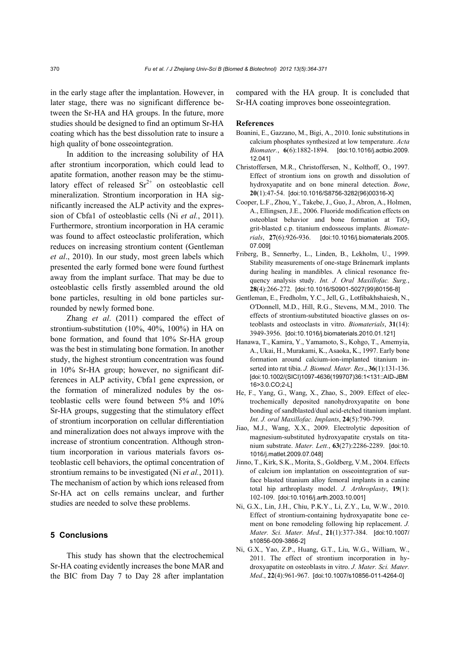in the early stage after the implantation. However, in later stage, there was no significant difference between the Sr-HA and HA groups. In the future, more studies should be designed to find an optimum Sr-HA coating which has the best dissolution rate to insure a high quality of bone osseointegration.

In addition to the increasing solubility of HA after strontium incorporation, which could lead to apatite formation, another reason may be the stimulatory effect of released  $Sr^{2+}$  on osteoblastic cell mineralization. Strontium incorporation in HA significantly increased the ALP activity and the expression of Cbfa1 of osteoblastic cells (Ni *et al.*, 2011). Furthermore, strontium incorporation in HA ceramic was found to affect osteoclastic proliferation, which reduces on increasing strontium content (Gentleman *et al*., 2010). In our study, most green labels which presented the early formed bone were found furthest away from the implant surface. That may be due to osteoblastic cells firstly assembled around the old bone particles, resulting in old bone particles surrounded by newly formed bone.

Zhang *et al*. (2011) compared the effect of strontium-substitution (10%, 40%, 100%) in HA on bone formation, and found that 10% Sr-HA group was the best in stimulating bone formation. In another study, the highest strontium concentration was found in 10% Sr-HA group; however, no significant differences in ALP activity, Cbfa1 gene expression, or the formation of mineralized nodules by the osteoblastic cells were found between 5% and 10% Sr-HA groups, suggesting that the stimulatory effect of strontium incorporation on cellular differentiation and mineralization does not always improve with the increase of strontium concentration. Although strontium incorporation in various materials favors osteoblastic cell behaviors, the optimal concentration of strontium remains to be investigated (Ni *et al.*, 2011). The mechanism of action by which ions released from Sr-HA act on cells remains unclear, and further studies are needed to solve these problems.

## **5 Conclusions**

This study has shown that the electrochemical Sr-HA coating evidently increases the bone MAR and the BIC from Day 7 to Day 28 after implantation

compared with the HA group. It is concluded that Sr-HA coating improves bone osseointegration.

#### **References**

- Boanini, E., Gazzano, M., Bigi, A., 2010. Ionic substitutions in calcium phosphates synthesized at low temperature. *Acta Biomater.*, **6**(6):1882-1894. [doi:10.1016/j.actbio.2009. 12.041]
- Christoffersen, M.R., Christoffersen, N., Kolthoff, O., 1997. Effect of strontium ions on growth and dissolution of hydroxyapatite and on bone mineral detection. *Bone*, **20**(1):47-54. [doi:10.1016/S8756-3282(96)00316-X]
- Cooper, L.F., Zhou, Y., Takebe, J., Guo, J., Abron, A., Holmen, A., Ellingsen, J.E., 2006. Fluoride modification effects on osteoblast behavior and bone formation at  $TiO<sub>2</sub>$ grit-blasted c.p. titanium endosseous implants. *Biomaterials*, **27**(6):926-936. [doi:10.1016/j.biomaterials.2005. 07.009]
- Friberg, B., Sennerby, L., Linden, B., Lekholm, U., 1999. Stability measurements of one-stage Brånemark implants during healing in mandibles. A clinical resonance frequency analysis study. *Int. J. Oral Maxillofac. Surg.*, **28**(4):266-272. [doi:10.1016/S0901-5027(99)80156-8]
- Gentleman, E., Fredholm, Y.C., Jell, G., Lotfibakhshaiesh, N., O′Donnell, M.D., Hill, R.G., Stevens, M.M., 2010. The effects of strontium-substituted bioactive glasses on osteoblasts and osteoclasts in vitro. *Biomaterials*, **31**(14): 3949-3956. [doi:10.1016/j.biomaterials.2010.01.121]
- Hanawa, T., Kamira, Y., Yamamoto, S., Kohgo, T., Amemyia, A., Ukai, H., Murakami, K., Asaoka, K., 1997. Early bone formation around calcium-ion-implanted titanium inserted into rat tibia. *J. Biomed. Mater. Res*., **36**(1):131-136. [doi:10.1002/(SICI)1097-4636(199707)36:1<131::AID-JBM 16>3.0.CO;2-L]
- He, F., Yang, G., Wang, X., Zhao, S., 2009. Effect of electrochemically deposited nanohydroxyapatite on bone bonding of sandblasted/dual acid-etched titanium implant. *Int. J. oral Maxillofac. Implants*, **24**(5):790-799.
- Jiao, M.J., Wang, X.X., 2009. Electrolytic deposition of magnesium-substituted hydroxyapatite crystals on titanium substrate. *Mater. Lett.*, **63**(27):2286-2289. [doi:10. 1016/j.matlet.2009.07.048]
- Jinno, T., Kirk, S.K., Morita, S., Goldberg, V.M., 2004. Effects of calcium ion implantation on osseointegration of surface blasted titanium alloy femoral implants in a canine total hip arthroplasty model. *J. Arthroplasty*, **19**(1): 102-109. [doi:10.1016/j.arth.2003.10.001]
- Ni, G.X., Lin, J.H., Chiu, P.K.Y., Li, Z.Y., Lu, W.W., 2010. Effect of strontium-containing hydroxyapatite bone cement on bone remodeling following hip replacement. *J. Mater. Sci. Mater. Med*., **21**(1):377-384. [doi:10.1007/ s10856-009-3866-2]
- Ni, G.X., Yao, Z.P., Huang, G.T., Liu, W.G., William, W., 2011. The effect of strontium incorporation in hydroxyapatite on osteoblasts in vitro. *J. Mater. Sci. Mater. Med*., **22**(4):961-967. [doi:10.1007/s10856-011-4264-0]